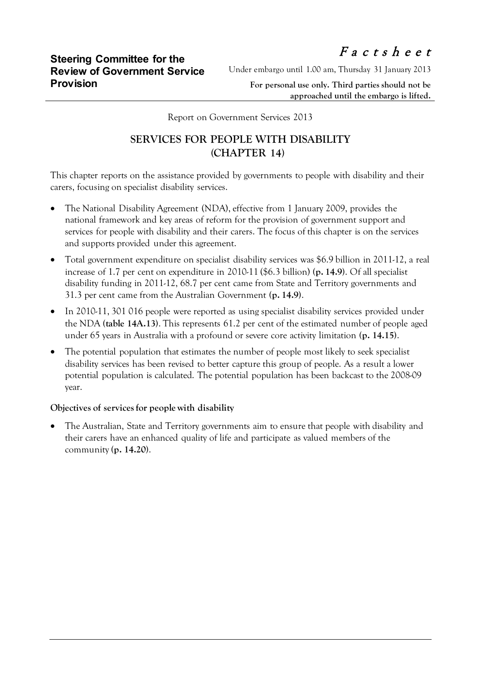$F \cdot s$  c t s h e e t

Under embargo until 1.00 am, Thursday 31 January 2013

**For personal use only. Third parties should not be approached until the embargo is lifted.**

Report on Government Services 2013

## **SERVICES FOR PEOPLE WITH DISABILITY (CHAPTER 14)**

This chapter reports on the assistance provided by governments to people with disability and their carers, focusing on specialist disability services.

- The National Disability Agreement (NDA), effective from 1 January 2009, provides the national framework and key areas of reform for the provision of government support and services for people with disability and their carers. The focus of this chapter is on the services and supports provided under this agreement.
- Total government expenditure on specialist disability services was \$6.9 billion in 2011-12, a real increase of 1.7 per cent on expenditure in 2010-11 (\$6.3 billion) **(p. 14.9)**. Of all specialist disability funding in 2011-12, 68.7 per cent came from State and Territory governments and 31.3 per cent came from the Australian Government **(p. 14.9)**.
- In 2010-11, 301 016 people were reported as using specialist disability services provided under the NDA **(table 14A.13)**. This represents 61.2 per cent of the estimated number of people aged under 65 years in Australia with a profound or severe core activity limitation **(p. 14.15)**.
- The potential population that estimates the number of people most likely to seek specialist disability services has been revised to better capture this group of people. As a result a lower potential population is calculated. The potential population has been backcast to the 2008-09 year.

## **Objectives of services for people with disability**

• The Australian, State and Territory governments aim to ensure that people with disability and their carers have an enhanced quality of life and participate as valued members of the community **(p. 14.20)**.